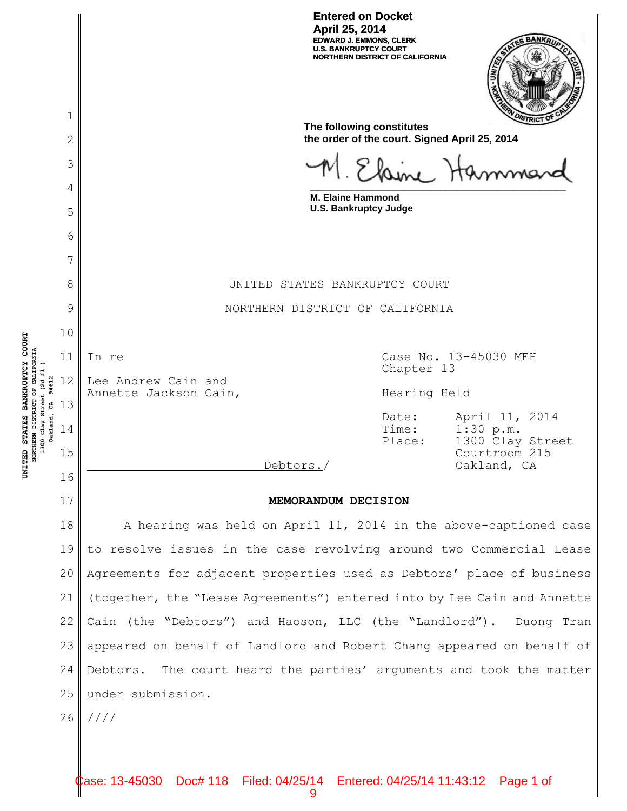**Entered on Docket April 25, 2014 EDWARD J. EMMONS, CLERK U.S. BANKRUPTCY COURT NORTHERN DISTRICT OF CALIFORNIA**



|                                                                                    | $\mathbf 1$                                      |                                                                            |                |                                                  |  |  |  |
|------------------------------------------------------------------------------------|--------------------------------------------------|----------------------------------------------------------------------------|----------------|--------------------------------------------------|--|--|--|
|                                                                                    | 2                                                | The following constitutes<br>the order of the court. Signed April 25, 2014 |                |                                                  |  |  |  |
| NORTHERN DISTRICT OF CALIFORNIA<br>1300 Clay Street (2d fl.)<br>Oakland, CA. 94612 | 3                                                |                                                                            |                |                                                  |  |  |  |
|                                                                                    | M. Elsine Hamma<br>4<br><b>M. Elaine Hammond</b> |                                                                            |                |                                                  |  |  |  |
|                                                                                    | 5                                                | <b>U.S. Bankruptcy Judge</b>                                               |                |                                                  |  |  |  |
|                                                                                    | 6                                                |                                                                            |                |                                                  |  |  |  |
|                                                                                    | 7                                                |                                                                            |                |                                                  |  |  |  |
|                                                                                    | 8                                                | UNITED STATES BANKRUPTCY COURT                                             |                |                                                  |  |  |  |
|                                                                                    | 9                                                | NORTHERN DISTRICT OF CALIFORNIA                                            |                |                                                  |  |  |  |
|                                                                                    | 10                                               |                                                                            |                |                                                  |  |  |  |
|                                                                                    | 11<br>12                                         | In re<br>Lee Andrew Cain and                                               |                | Case No. 13-45030 MEH<br>Chapter 13              |  |  |  |
|                                                                                    |                                                  | Annette Jackson Cain,                                                      |                | Hearing Held                                     |  |  |  |
|                                                                                    | 13<br>14                                         |                                                                            | Date:<br>Time: | April 11, 2014<br>1:30 p.m.                      |  |  |  |
|                                                                                    | 15                                               | Debtors./                                                                  | Place:         | 1300 Clay Street<br>Courtroom 215<br>Oakland, CA |  |  |  |
|                                                                                    | 16                                               |                                                                            |                |                                                  |  |  |  |
|                                                                                    | 17                                               | MEMORANDUM DECISION                                                        |                |                                                  |  |  |  |
|                                                                                    | 18<br>19                                         | A hearing was held on April 11, 2014 in the above-captioned case           |                |                                                  |  |  |  |
|                                                                                    | 20                                               | to resolve issues in the case revolving around two Commercial Lease        |                |                                                  |  |  |  |
|                                                                                    | 21                                               | Agreements for adjacent properties used as Debtors' place of business      |                |                                                  |  |  |  |
|                                                                                    |                                                  | (together, the "Lease Agreements") entered into by Lee Cain and Annette    |                |                                                  |  |  |  |
|                                                                                    | 22                                               | Cain (the "Debtors") and Haoson, LLC (the "Landlord"). Duong Tran          |                |                                                  |  |  |  |
|                                                                                    | 23                                               | appeared on behalf of Landlord and Robert Chang appeared on behalf of      |                |                                                  |  |  |  |
|                                                                                    | 24                                               | Debtors. The court heard the parties' arguments and took the matter        |                |                                                  |  |  |  |
|                                                                                    | 25                                               | under submission.                                                          |                |                                                  |  |  |  |
|                                                                                    | 26                                               | 1111                                                                       |                |                                                  |  |  |  |
|                                                                                    |                                                  |                                                                            |                |                                                  |  |  |  |

**U**

**NITED STATES BAN**

**K RUPTCY COU**

**RT**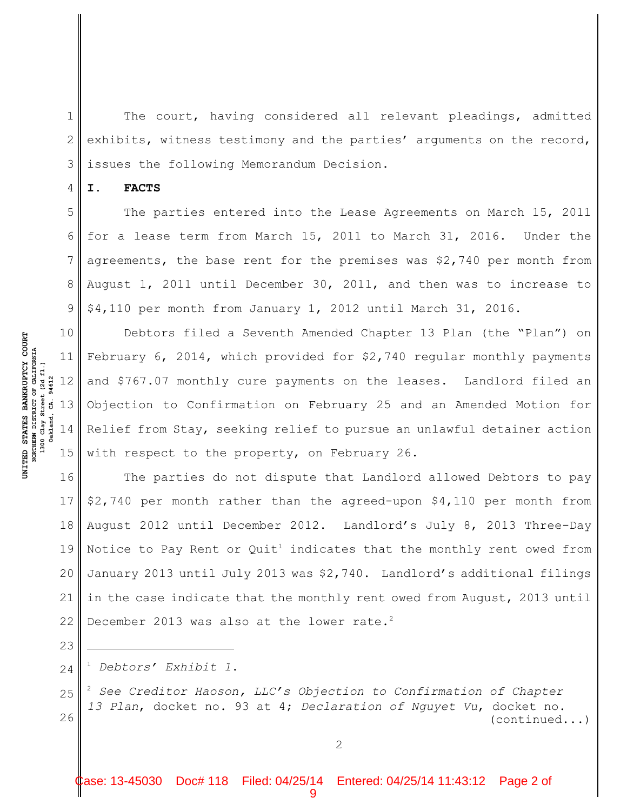1 2 3 The court, having considered all relevant pleadings, admitted exhibits, witness testimony and the parties' arguments on the record, issues the following Memorandum Decision.

**I. FACTS**

4

5

8

6 7 9 The parties entered into the Lease Agreements on March 15, 2011 for a lease term from March 15, 2011 to March 31, 2016. Under the agreements, the base rent for the premises was \$2,740 per month from August 1, 2011 until December 30, 2011, and then was to increase to \$4,110 per month from January 1, 2012 until March 31, 2016.

10 11 12 13 14 15 Debtors filed a Seventh Amended Chapter 13 Plan (the "Plan") on February 6, 2014, which provided for \$2,740 regular monthly payments and \$767.07 monthly cure payments on the leases. Landlord filed an Objection to Confirmation on February 25 and an Amended Motion for Relief from Stay, seeking relief to pursue an unlawful detainer action with respect to the property, on February 26.

16 17 18 19 20 21 22 The parties do not dispute that Landlord allowed Debtors to pay \$2,740 per month rather than the agreed-upon \$4,110 per month from August 2012 until December 2012. Landlord's July 8, 2013 Three-Day Notice to Pay Rent or Quit<sup>1</sup> indicates that the monthly rent owed from January 2013 until July 2013 was \$2,740. Landlord's additional filings in the case indicate that the monthly rent owed from August, 2013 until December 2013 was also at the lower rate.<sup>2</sup>

24 *Debtors' Exhibit 1*. 1

25 26  $^2$  See Creditor Haoson, LLC's Objection to Confirmation of Chapter *13 Plan*, docket no. 93 at 4; *Declaration of Nguyet Vu*, docket no. (continued...)

**RT**

**U**

23

Case: 13-45030 Doc# 118 Filed: 04/25/14 Entered: 04/25/14 11:43:12 Page 2 of 9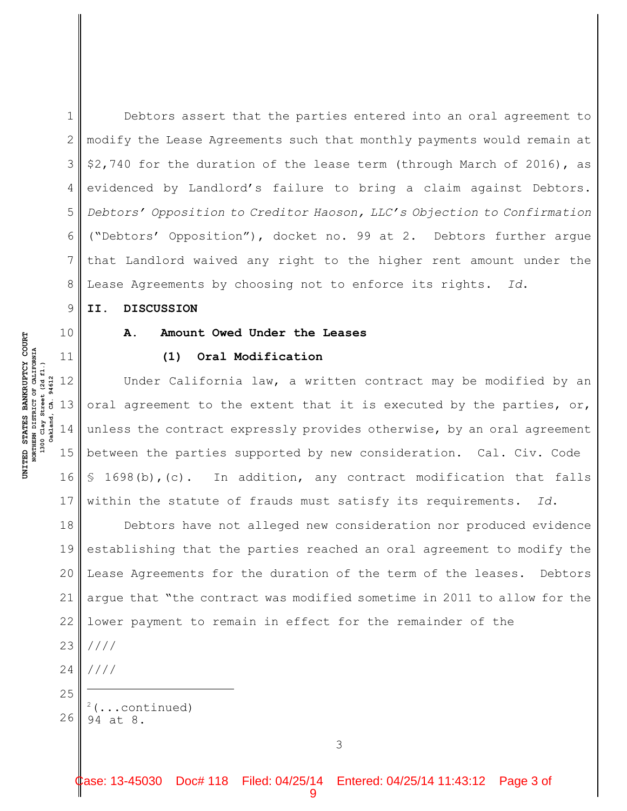6 Debtors assert that the parties entered into an oral agreement to modify the Lease Agreements such that monthly payments would remain at \$2,740 for the duration of the lease term (through March of 2016), as evidenced by Landlord's failure to bring a claim against Debtors. *Debtors' Opposition to Creditor Haoson, LLC's Objection to Confirmation* ("Debtors' Opposition"), docket no. 99 at 2. Debtors further argue that Landlord waived any right to the higher rent amount under the Lease Agreements by choosing not to enforce its rights. *Id*.

#### **II. DISCUSSION**

## **A. Amount Owed Under the Leases**

#### **(1) Oral Modification**

12 13 14 15 16 17 Under California law, a written contract may be modified by an oral agreement to the extent that it is executed by the parties, or, unless the contract expressly provides otherwise, by an oral agreement between the parties supported by new consideration. Cal. Civ. Code § 1698(b),(c). In addition, any contract modification that falls within the statute of frauds must satisfy its requirements. *Id*.

18 19 20 21 22 23 24 25 Debtors have not alleged new consideration nor produced evidence establishing that the parties reached an oral agreement to modify the Lease Agreements for the duration of the term of the leases. Debtors argue that "the contract was modified sometime in 2011 to allow for the lower payment to remain in effect for the remainder of the //// ////

1

2

3

4

5

7

8

9

10

11

26

(...continued) <sup>2</sup>

94 at 8.

**U**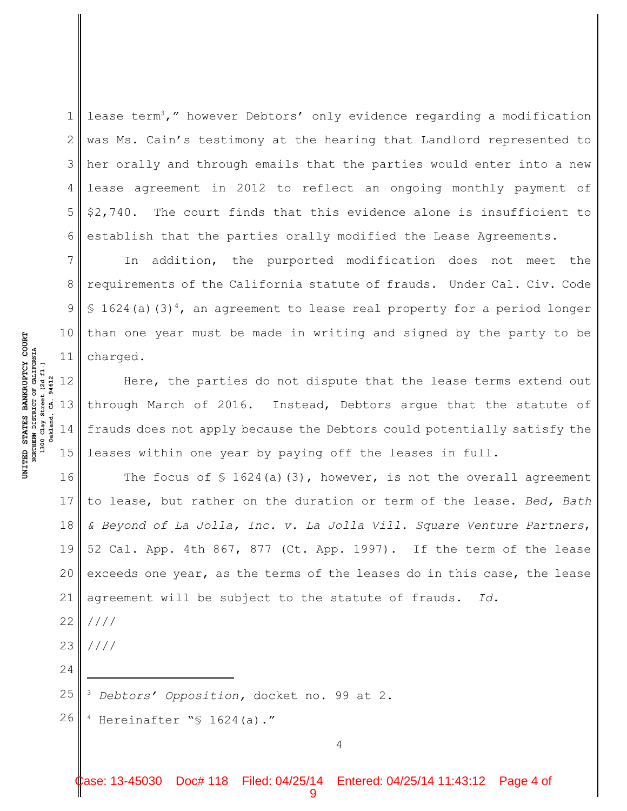1 2 3 4 5 6 lease term<sup>3</sup>," however Debtors' only evidence regarding a modification was Ms. Cain's testimony at the hearing that Landlord represented to her orally and through emails that the parties would enter into a new lease agreement in 2012 to reflect an ongoing monthly payment of \$2,740. The court finds that this evidence alone is insufficient to establish that the parties orally modified the Lease Agreements.

11 In addition, the purported modification does not meet the requirements of the California statute of frauds. Under Cal. Civ. Code § 1624(a)(3)<sup>4</sup>, an agreement to lease real property for a period longer than one year must be made in writing and signed by the party to be charged.

12 13 14 15 Here, the parties do not dispute that the lease terms extend out through March of 2016. Instead, Debtors argue that the statute of frauds does not apply because the Debtors could potentially satisfy the leases within one year by paying off the leases in full.

16 17 18 19 20 21 22 The focus of  $\frac{1}{2}$  1624(a)(3), however, is not the overall agreement to lease, but rather on the duration or term of the lease. *Bed, Bath & Beyond of La Jolla, Inc. v. La Jolla Vill. Square Venture Partners*, 52 Cal. App. 4th 867, 877 (Ct. App. 1997). If the term of the lease exceeds one year, as the terms of the leases do in this case, the lease agreement will be subject to the statute of frauds. *Id.* ////

23 ////

24

**U**

**NITED STATES BAN**

NORTHERN DISTRICT OF CALIFORNIA<br>1300 Clay Street (2d fl.)

94612 Ġ.

akland,

**NORTHERN DISTRICT OF CALIFORNIA 1300 Clay Street (2d fl.) Oakland, CA. 94612**

**KRUPTCY COU**

**RT**

7

8

9

10

25 <sup>3</sup> Debtors' Opposition, docket no. 99 at 2.

26  $4$  Hereinafter " $$ 1624(a)$ ."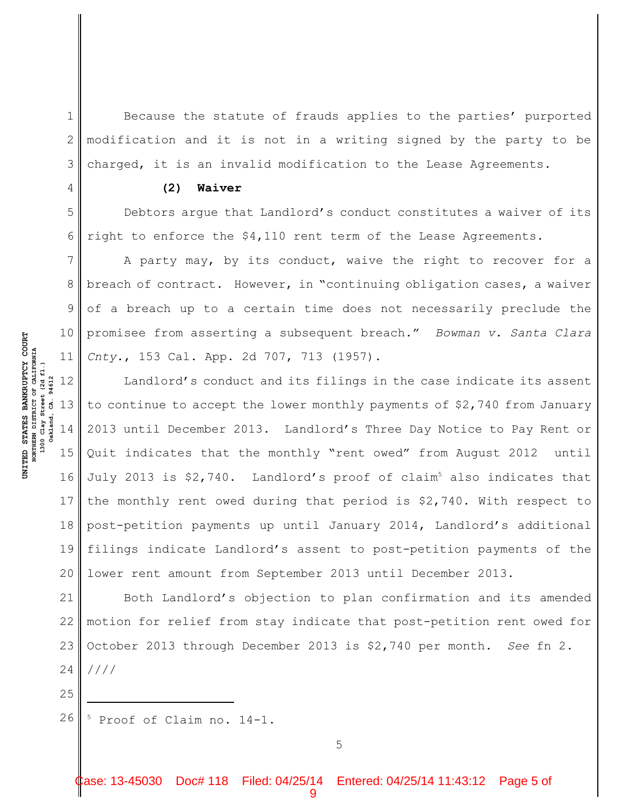1 2 3 Because the statute of frauds applies to the parties' purported modification and it is not in a writing signed by the party to be charged, it is an invalid modification to the Lease Agreements.

#### **(2) Waiver**

Debtors argue that Landlord's conduct constitutes a waiver of its right to enforce the \$4,110 rent term of the Lease Agreements.

11 A party may, by its conduct, waive the right to recover for a breach of contract. However, in "continuing obligation cases, a waiver of a breach up to a certain time does not necessarily preclude the promisee from asserting a subsequent breach." *Bowman v. Santa Clara Cnty.*, 153 Cal. App. 2d 707, 713 (1957).

12 13 14 15 16 17 18 19 20 Landlord's conduct and its filings in the case indicate its assent to continue to accept the lower monthly payments of \$2,740 from January 2013 until December 2013. Landlord's Three Day Notice to Pay Rent or Quit indicates that the monthly "rent owed" from August 2012 until July 2013 is \$2,740. Landlord's proof of claim<sup>5</sup> also indicates that the monthly rent owed during that period is \$2,740. With respect to post-petition payments up until January 2014, Landlord's additional filings indicate Landlord's assent to post-petition payments of the lower rent amount from September 2013 until December 2013.

21 22 23 24 Both Landlord's objection to plan confirmation and its amended motion for relief from stay indicate that post-petition rent owed for October 2013 through December 2013 is \$2,740 per month. *See* fn 2. ////

26  $5$  Proof of Claim no. 14-1.

5

**RT**

4

5

6

7

8

9

10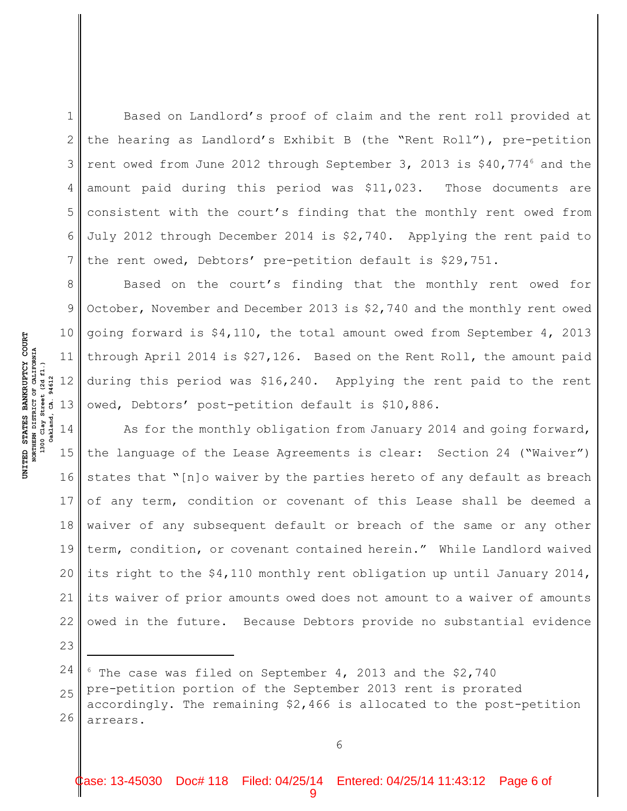1 2 3 4 5 6 7 Based on Landlord's proof of claim and the rent roll provided at the hearing as Landlord's Exhibit B (the "Rent Roll"), pre-petition rent owed from June 2012 through September 3, 2013 is  $$40,774^6$  and the amount paid during this period was \$11,023. Those documents are consistent with the court's finding that the monthly rent owed from July 2012 through December 2014 is \$2,740. Applying the rent paid to the rent owed, Debtors' pre-petition default is \$29,751.

8 9 10 11 Based on the court's finding that the monthly rent owed for October, November and December 2013 is \$2,740 and the monthly rent owed going forward is \$4,110, the total amount owed from September 4, 2013 through April 2014 is \$27,126. Based on the Rent Roll, the amount paid during this period was \$16,240. Applying the rent paid to the rent owed, Debtors' post-petition default is \$10,886.

15 17 18 19 20 21 22 As for the monthly obligation from January 2014 and going forward, the language of the Lease Agreements is clear: Section 24 ("Waiver") states that "[n]o waiver by the parties hereto of any default as breach of any term, condition or covenant of this Lease shall be deemed a waiver of any subsequent default or breach of the same or any other term, condition, or covenant contained herein." While Landlord waived its right to the \$4,110 monthly rent obligation up until January 2014, its waiver of prior amounts owed does not amount to a waiver of amounts owed in the future. Because Debtors provide no substantial evidence

24 25 26  $6$  The case was filed on September 4, 2013 and the \$2,740 pre-petition portion of the September 2013 rent is prorated accordingly. The remaining \$2,466 is allocated to the post-petition arrears.

23

**RT**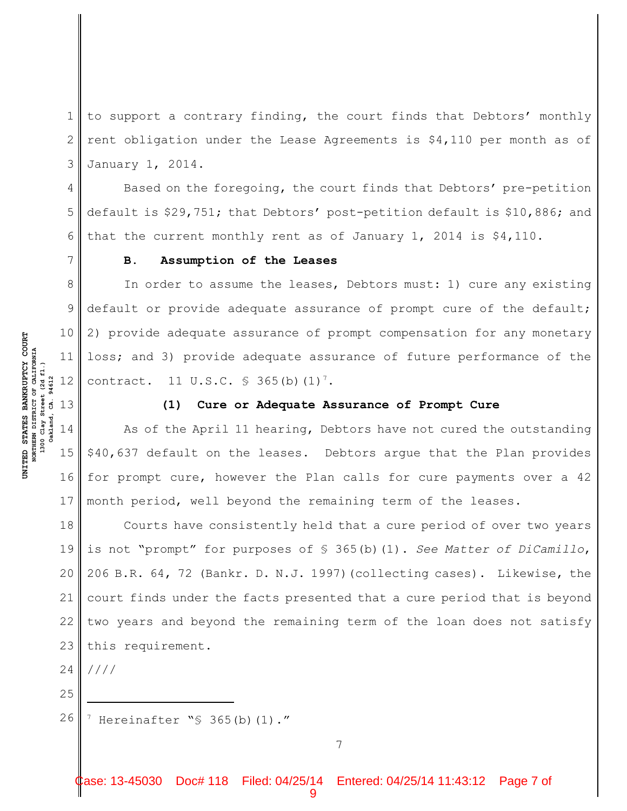1 2 3 to support a contrary finding, the court finds that Debtors' monthly rent obligation under the Lease Agreements is \$4,110 per month as of January 1, 2014.

4 5 6 Based on the foregoing, the court finds that Debtors' pre-petition default is \$29,751; that Debtors' post-petition default is \$10,886; and that the current monthly rent as of January 1, 2014 is \$4,110.

#### **B. Assumption of the Leases**

8 9 10 11 12 In order to assume the leases, Debtors must: 1) cure any existing default or provide adequate assurance of prompt cure of the default; 2) provide adequate assurance of prompt compensation for any monetary loss; and 3) provide adequate assurance of future performance of the contract. 11 U.S.C.  $\frac{1}{5}$  365(b)(1)<sup>7</sup>.

#### **(1) Cure or Adequate Assurance of Prompt Cure**

15 As of the April 11 hearing, Debtors have not cured the outstanding \$40,637 default on the leases. Debtors argue that the Plan provides for prompt cure, however the Plan calls for cure payments over a 42 month period, well beyond the remaining term of the leases.

18 19 20 21 22 23 Courts have consistently held that a cure period of over two years is not "prompt" for purposes of § 365(b)(1). *See Matter of DiCamillo*, 206 B.R. 64, 72 (Bankr. D. N.J. 1997)(collecting cases). Likewise, the court finds under the facts presented that a cure period that is beyond two years and beyond the remaining term of the loan does not satisfy this requirement.

24 ////

25

26  $\frac{7}{7}$  Hereinafter " $\frac{6}{7}$  365(b)(1)."

17

**RT**

7

**U**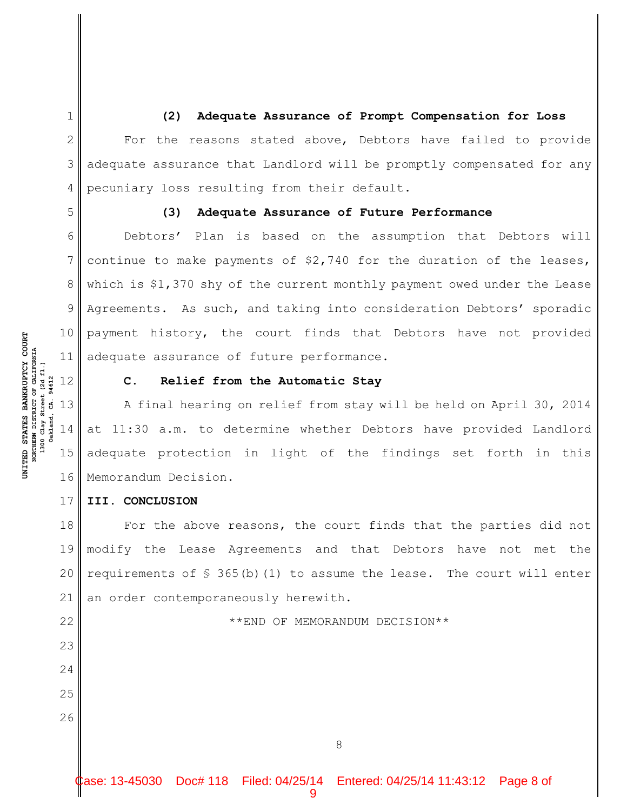2 3 4 **(2) Adequate Assurance of Prompt Compensation for Loss** For the reasons stated above, Debtors have failed to provide adequate assurance that Landlord will be promptly compensated for any pecuniary loss resulting from their default.

5

6

7

8

9

10

17

22

23

24

25

26

1

### **(3) Adequate Assurance of Future Performance**

11 Debtors' Plan is based on the assumption that Debtors will continue to make payments of \$2,740 for the duration of the leases, which is \$1,370 shy of the current monthly payment owed under the Lease Agreements. As such, and taking into consideration Debtors' sporadic payment history, the court finds that Debtors have not provided adequate assurance of future performance.

NORTHERN DISTRICT OF CALIFORNIA<br>1300 Clay Street (2d fl.) **NORTHERN DISTRICT OF CALIFORNIA 1300 Clay Street (2d fl.)** 94612 **Oakland, CA. 94612** 12  $\dot{\mathbf{g}}$ 

akland,

**U**

**NITED STATES BAN**

**KRUPTCY COU**

**RT**

# **C. Relief from the Automatic Stay**

13 14 15 16 A final hearing on relief from stay will be held on April 30, 2014 at 11:30 a.m. to determine whether Debtors have provided Landlord adequate protection in light of the findings set forth in this Memorandum Decision.

#### **III. CONCLUSION**

18 19 20 21 For the above reasons, the court finds that the parties did not modify the Lease Agreements and that Debtors have not met the requirements of  $\S$  365(b)(1) to assume the lease. The court will enter an order contemporaneously herewith.

\*\*END OF MEMORANDUM DECISION\*\*